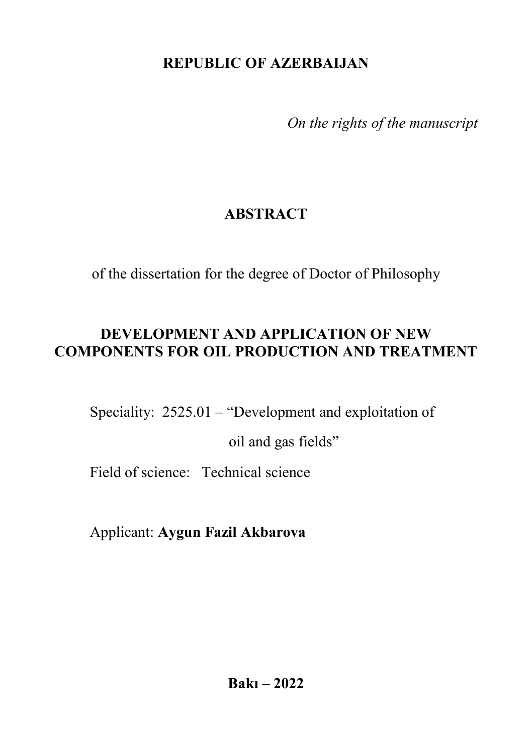# **REPUBLIC OF AZERBAIJAN**

*On the rights of the manuscript*

# **ABSTRACT**

of the dissertation for the degree of Doctor of Philosophy

# **DEVELOPMENT AND APPLICATION OF NEW COMPONENTS FOR OIL PRODUCTION AND TREATMENT**

Speciality: 2525.01 – "Development and exploitation of

oil and gas fields"

Field of science: Technical science

Applicant: **Aygun Fazil Akbarova**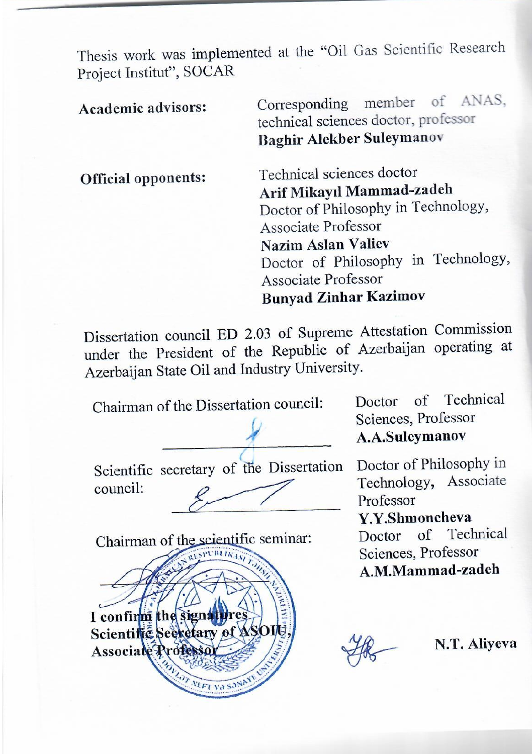Thesis work was implemented at the "Oil Gas Scientific Research Project Institut", SOCAR

**Academic advisors:** Corresponding member of ANAS,<br>technical sciences doctor, professor Raghir Alekher Suleymanov **Baghir Alekber Suleymanov Official opponents:** Technical sciences doctor<br>Arif Mikavil Mammad-zadeh Doctor of Philosophy in Technology, Associate Professor Nazim Aslan Valiev Doctor of Philosophy in Technology, Associate Professor Punyed 7inh **Bunyad Zinhar Kazimov**

 $D$  is sertation council ED 2.03 of Supreme Attending operating  $D_{\text{c}}$  of  $\Delta$  at  $\Delta$  at  $\Delta$  at  $\Delta$  and  $\Delta$  and  $\Delta$  are position of  $\Delta$  are position operating under the President of the Republic of  $\frac{1}{2}$ Azerbaijan State Oil and Industry University.

Chairman of the Dissertation council:

**\_\_\_\_\_\_\_\_\_\_\_\_\_\_\_\_\_\_\_\_\_\_**  Scientific secretary of the Dissertation

 $\overline{\phantom{a}}$ 

council:

Doctor of Technical<br>Sciences, Professor A.A.Suleymanov **A.A. A.A.Suley** 

Doctor of Philosophy in<br>Technology, Associate Professor Y.Y.Shmoncheva Doctor of Technical Sciences, Professor A.M.Mammad-zadeh



**A.M.Mammad-zadeh**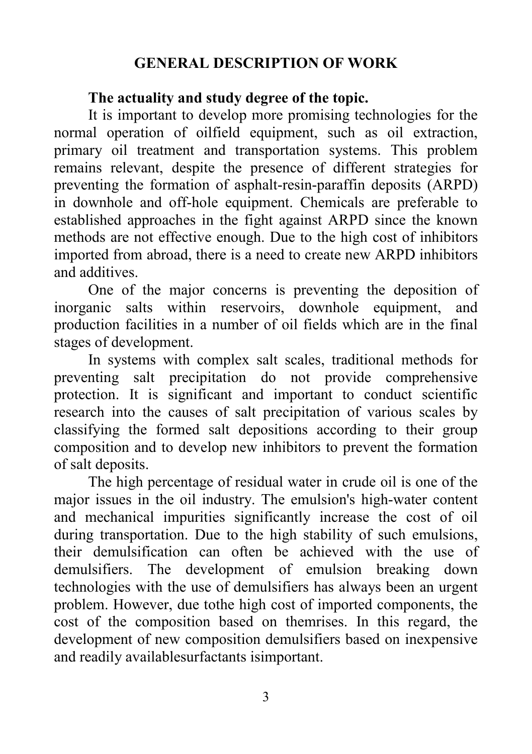## **GENERAL DESCRIPTION OF WORK**

### **The actuality and study degree of the topic.**

It is important to develop more promising technologies for the normal operation of oilfield equipment, such as oil extraction, primary oil treatment and transportation systems. This problem remains relevant, despite the presence of different strategies for preventing the formation of asphalt-resin-paraffin deposits (ARPD) in downhole and off-hole equipment. Chemicals are preferable to established approaches in the fight against ARPD since the known methods are not effective enough. Due to the high cost of inhibitors imported from abroad, there is a need to create new ARPD inhibitors and additives.

One of the major concerns is preventing the deposition of inorganic salts within reservoirs, downhole equipment, and production facilities in a number of oil fields which are in the final stages of development.

In systems with complex salt scales, traditional methods for preventing salt precipitation do not provide comprehensive protection. It is significant and important to conduct scientific research into the causes of salt precipitation of various scales by classifying the formed salt depositions according to their group composition and to develop new inhibitors to prevent the formation of salt deposits.

The high percentage of residual water in crude oil is one of the major issues in the oil industry. The emulsion's high-water content and mechanical impurities significantly increase the cost of oil during transportation. Due to the high stability of such emulsions, their demulsification can often be achieved with the use of demulsifiers. The development of emulsion breaking down technologies with the use of demulsifiers has always been an urgent problem. However, due tothe high cost of imported components, the cost of the composition based on themrises. In this regard, the development of new composition demulsifiers based on inexpensive and readily availablesurfactants isimportant.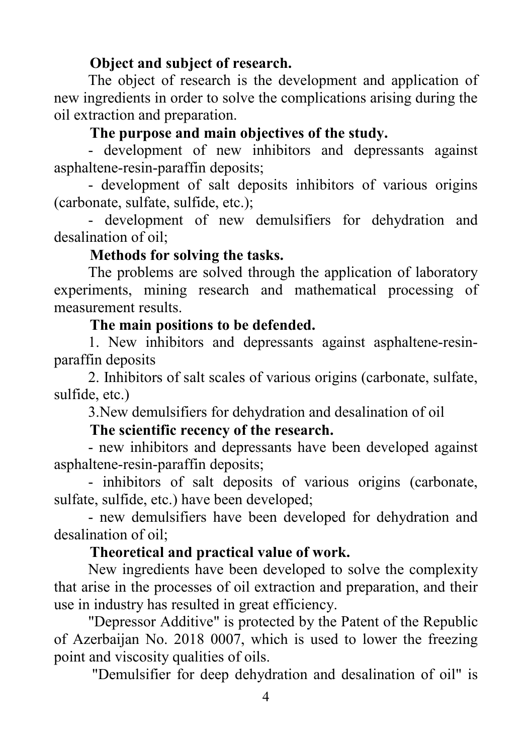### **Object and subject of research.**

The object of research is the development and application of new ingredients in order to solve the complications arising during the oil extraction and preparation.

### **The purpose and main objectives of the study.**

- development of new inhibitors and depressants against asphaltene-resin-paraffin deposits;

- development of salt deposits inhibitors of various origins (carbonate, sulfate, sulfide, etc.);

- development of new demulsifiers for dehydration and desalination of oil;

#### **Methods for solving the tasks.**

The problems are solved through the application of laboratory experiments, mining research and mathematical processing of measurement results.

#### **The main positions to be defended.**

1. New inhibitors and depressants against asphaltene-resinparaffin deposits

2. Inhibitors of salt scales of various origins (carbonate, sulfate, sulfide, etc.)

3.New demulsifiers for dehydration and desalination of oil

### **The scientific recency of the research.**

- new inhibitors and depressants have been developed against asphaltene-resin-paraffin deposits;

- inhibitors of salt deposits of various origins (carbonate, sulfate, sulfide, etc.) have been developed;

- new demulsifiers have been developed for dehydration and desalination of oil;

### **Theoretical and practical value of work.**

New ingredients have been developed to solve the complexity that arise in the processes of oil extraction and preparation, and their use in industry has resulted in great efficiency.

"Depressor Additive" is protected by the Patent of the Republic of Azerbaijan No. 2018 0007, which is used to lower the freezing point and viscosity qualities of oils.

"Demulsifier for deep dehydration and desalination of oil" is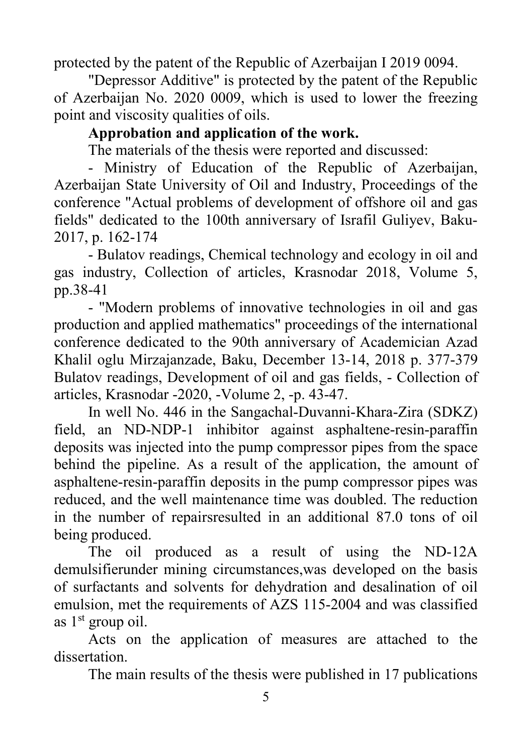protected by the patent of the Republic of Azerbaijan I 2019 0094.

"Depressor Additive" is protected by the patent of the Republic of Azerbaijan No. 2020 0009, which is used to lower the freezing point and viscosity qualities of oils.

## **Approbation and application of the work.**

The materials of the thesis were reported and discussed:

- Ministry of Education of the Republic of Azerbaijan, Azerbaijan State University of Oil and Industry, Proceedings of the conference "Actual problems of development of offshore oil and gas fields" dedicated to the 100th anniversary of Israfil Guliyev, Baku-2017, p. 162-174

- Bulatov readings, Chemical technology and ecology in oil and gas industry, Collection of articles, Krasnodar 2018, Volume 5, pp.38-41

- "Modern problems of innovative technologies in oil and gas production and applied mathematics" proceedings of the international conference dedicated to the 90th anniversary of Academician Azad Khalil oglu Mirzajanzade, Baku, December 13-14, 2018 p. 377-379 Bulatov readings, Development of oil and gas fields, - Collection of articles, Krasnodar -2020, -Volume 2, -p. 43-47.

In well No. 446 in the Sangachal-Duvanni-Khara-Zira (SDKZ) field, an ND-NDP-1 inhibitor against asphaltene-resin-paraffin deposits was injected into the pump compressor pipes from the space behind the pipeline. As a result of the application, the amount of asphaltene-resin-paraffin deposits in the pump compressor pipes was reduced, and the well maintenance time was doubled. The reduction in the number of repairsresulted in an additional 87.0 tons of oil being produced.

The oil produced as a result of using the ND-12A demulsifierunder mining circumstances,was developed on the basis of surfactants and solvents for dehydration and desalination of oil emulsion, met the requirements of AZS 115-2004 and was classified as  $1<sup>st</sup>$  group oil.

Acts on the application of measures are attached to the dissertation.

The main results of the thesis were published in 17 publications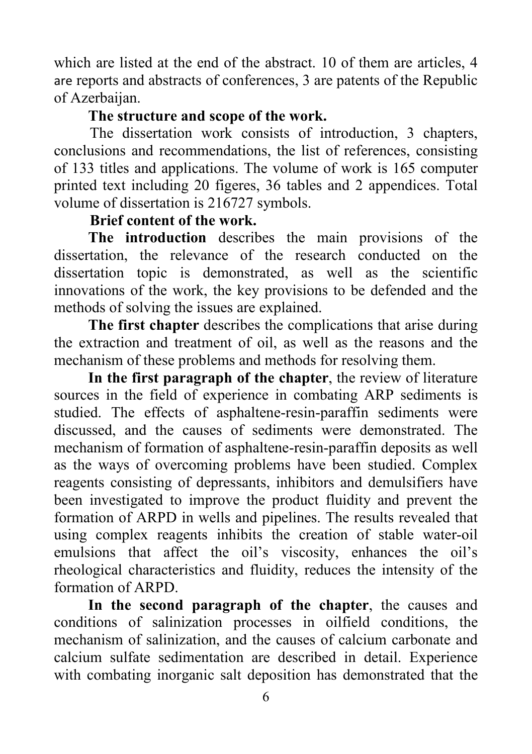which are listed at the end of the abstract. 10 of them are articles, 4 are reports and abstracts of conferences, 3 are patents of the Republic of Azerbaijan.

## **The structure and scope of the work.**

The dissertation work consists of introduction, 3 chapters, conclusions and recommendations, the list of references, consisting of 133 titles and applications. The volume of work is 165 computer printed text including 20 figeres, 36 tables and 2 appendices. Total volume of dissertation is 216727 symbols.

## **Brief content of the work.**

**The introduction** describes the main provisions of the dissertation, the relevance of the research conducted on the dissertation topic is demonstrated, as well as the scientific innovations of the work, the key provisions to be defended and the methods of solving the issues are explained.

**The first chapter** describes the complications that arise during the extraction and treatment of oil, as well as the reasons and the mechanism of these problems and methods for resolving them.

**In the first paragraph of the chapter**, the review of literature sources in the field of experience in combating ARP sediments is studied. The effects of asphaltene-resin-paraffin sediments were discussed, and the causes of sediments were demonstrated. The mechanism of formation of asphaltene-resin-paraffin deposits as well as the ways of overcoming problems have been studied. Complex reagents consisting of depressants, inhibitors and demulsifiers have been investigated to improve the product fluidity and prevent the formation of ARPD in wells and pipelines. The results revealed that using complex reagents inhibits the creation of stable water-oil emulsions that affect the oil's viscosity, enhances the oil's rheological characteristics and fluidity, reduces the intensity of the formation of ARPD.

**In the second paragraph of the chapter**, the causes and conditions of salinization processes in oilfield conditions, the mechanism of salinization, and the causes of calcium carbonate and calcium sulfate sedimentation are described in detail. Experience with combating inorganic salt deposition has demonstrated that the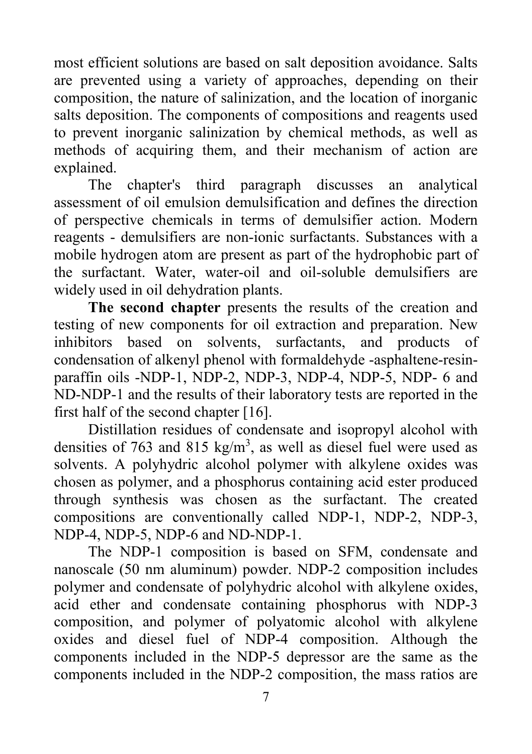most efficient solutions are based on salt deposition avoidance. Salts are prevented using a variety of approaches, depending on their composition, the nature of salinization, and the location of inorganic salts deposition. The components of compositions and reagents used to prevent inorganic salinization by chemical methods, as well as methods of acquiring them, and their mechanism of action are explained.

The chapter's third paragraph discusses an analytical assessment of oil emulsion demulsification and defines the direction of perspective chemicals in terms of demulsifier action. Modern reagents - demulsifiers are non-ionic surfactants. Substances with a mobile hydrogen atom are present as part of the hydrophobic part of the surfactant. Water, water-oil and oil-soluble demulsifiers are widely used in oil dehydration plants.

**The second chapter** presents the results of the creation and testing of new components for oil extraction and preparation. New inhibitors based on solvents, surfactants, and products of condensation of alkenyl phenol with formaldehyde -asphaltene-resinparaffin oils -NDP-1, NDP-2, NDP-3, NDP-4, NDP-5, NDP- 6 and ND-NDP-1 and the results of their laboratory tests are reported in the first half of the second chapter [16].

Distillation residues of condensate and isopropyl alcohol with densities of 763 and 815 kg/m<sup>3</sup>, as well as diesel fuel were used as solvents. A polyhydric alcohol polymer with alkylene oxides was chosen as polymer, and a phosphorus containing acid ester produced through synthesis was chosen as the surfactant. The created compositions are conventionally called NDP-1, NDP-2, NDP-3, NDP-4, NDP-5, NDP-6 and ND-NDP-1.

The NDP-1 composition is based on SFM, condensate and nanoscale (50 nm aluminum) powder. NDP-2 composition includes polymer and condensate of polyhydric alcohol with alkylene oxides, acid ether and condensate containing phosphorus with NDP-3 composition, and polymer of polyatomic alcohol with alkylene oxides and diesel fuel of NDP-4 composition. Although the components included in the NDP-5 depressor are the same as the components included in the NDP-2 composition, the mass ratios are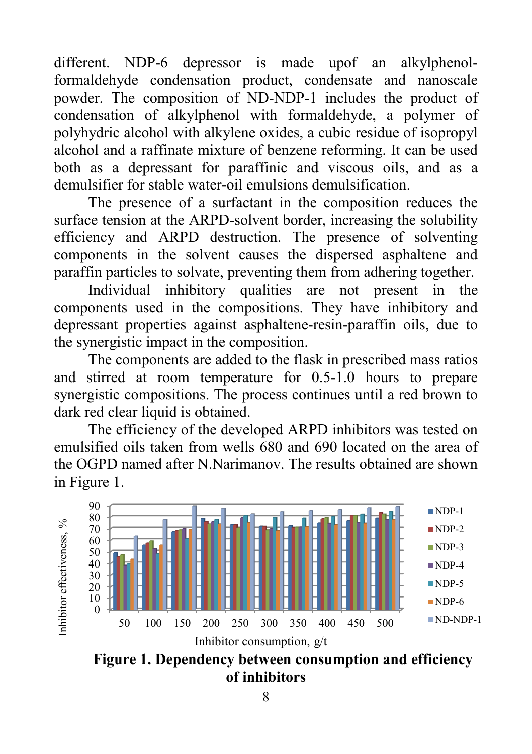different. NDP-6 depressor is made upof an alkylphenolformaldehyde condensation product, condensate and nanoscale powder. The composition of ND-NDP-1 includes the product of condensation of alkylphenol with formaldehyde, a polymer of polyhydric alcohol with alkylene oxides, a cubic residue of isopropyl alcohol and a raffinate mixture of benzene reforming. It can be used both as a depressant for paraffinic and viscous oils, and as a demulsifier for stable water-oil emulsions demulsification.

The presence of a surfactant in the composition reduces the surface tension at the ARPD-solvent border, increasing the solubility efficiency and ARPD destruction. The presence of solventing components in the solvent causes the dispersed asphaltene and paraffin particles to solvate, preventing them from adhering together.

Individual inhibitory qualities are not present in the components used in the compositions. They have inhibitory and depressant properties against asphaltene-resin-paraffin oils, due to the synergistic impact in the composition.

The components are added to the flask in prescribed mass ratios and stirred at room temperature for 0.5-1.0 hours to prepare synergistic compositions. The process continues until a red brown to dark red clear liquid is obtained.

The efficiency of the developed ARPD inhibitors was tested on emulsified oils taken from wells 680 and 690 located on the area of the OGPD named after N.Narimanov. The results obtained are shown in Figure 1.



**Figure 1. Dependency between consumption and efficiency of inhibitors**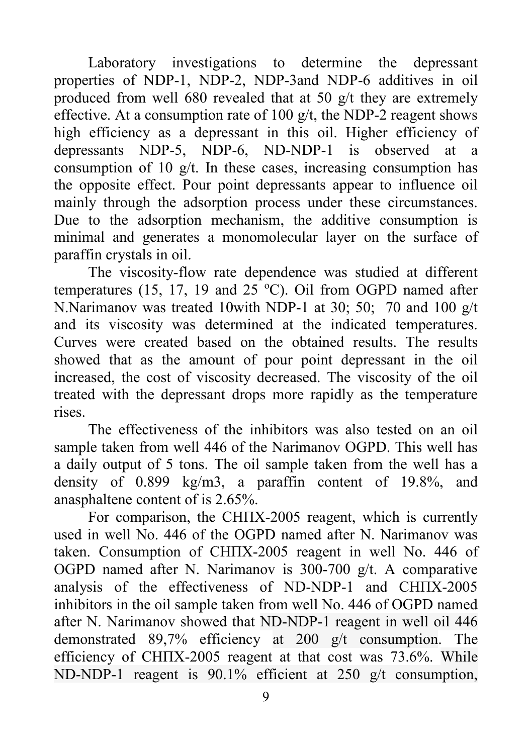Laboratory investigations to determine the depressant properties of NDP-1, NDP-2, NDP-3and NDP-6 additives in oil produced from well 680 revealed that at 50 g/t they are extremely effective. At a consumption rate of 100  $g/t$ , the NDP-2 reagent shows high efficiency as a depressant in this oil. Higher efficiency of depressants NDP-5, NDP-6, ND-NDP-1 is observed at a consumption of 10  $g/t$ . In these cases, increasing consumption has the opposite effect. Pour point depressants appear to influence oil mainly through the adsorption process under these circumstances. Due to the adsorption mechanism, the additive consumption is minimal and generates a monomolecular layer on the surface of paraffin crystals in oil.

The viscosity-flow rate dependence was studied at different temperatures (15, 17, 19 and 25 °C). Oil from OGPD named after N.Narimanov was treated 10with NDP-1 at 30; 50; 70 and 100 g/t and its viscosity was determined at the indicated temperatures. Curves were created based on the obtained results. The results showed that as the amount of pour point depressant in the oil increased, the cost of viscosity decreased. The viscosity of the oil treated with the depressant drops more rapidly as the temperature rises.

The effectiveness of the inhibitors was also tested on an oil sample taken from well 446 of the Narimanov OGPD. This well has a daily output of 5 tons. The oil sample taken from the well has a density of 0.899 kg/m3, a paraffin content of 19.8%, and anasphaltene content of is 2.65%.

For comparison, the СНПХ-2005 reagent, which is currently used in well No. 446 of the OGPD named after N. Narimanov was taken. Consumption of СНПХ-2005 reagent in well No. 446 of OGPD named after N. Narimanov is 300-700 g/t. A comparative analysis of the effectiveness of ND-NDP-1 and СНПХ-2005 inhibitors in the oil sample taken from well No. 446 of OGPD named after N. Narimanov showed that ND-NDP-1 reagent in well oil 446 demonstrated 89,7% efficiency at 200 g/t consumption. The efficiency of СНПХ-2005 reagent at that cost was 73.6%. While ND-NDP-1 reagent is 90.1% efficient at 250 g/t consumption,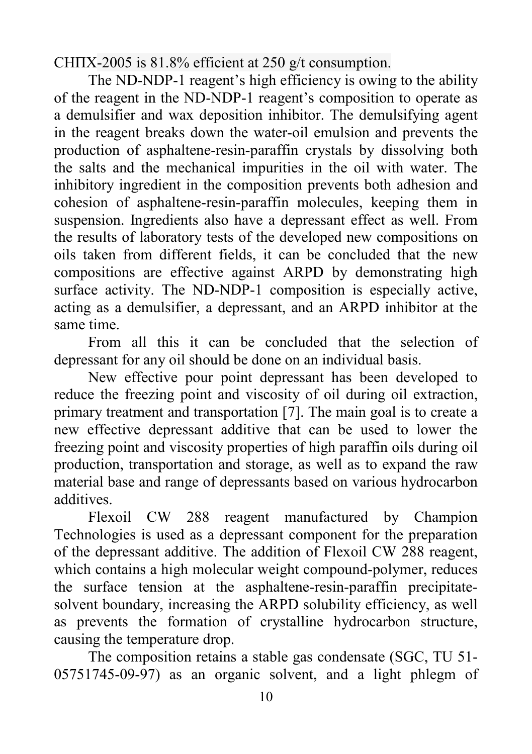СНПХ-2005 is 81.8% efficient at 250 g/t consumption.

The ND-NDP-1 reagent's high efficiency is owing to the ability of the reagent in the ND-NDP-1 reagent's composition to operate as a demulsifier and wax deposition inhibitor. The demulsifying agent in the reagent breaks down the water-oil emulsion and prevents the production of asphaltene-resin-paraffin crystals by dissolving both the salts and the mechanical impurities in the oil with water. The inhibitory ingredient in the composition prevents both adhesion and cohesion of asphaltene-resin-paraffin molecules, keeping them in suspension. Ingredients also have a depressant effect as well. From the results of laboratory tests of the developed new compositions on oils taken from different fields, it can be concluded that the new compositions are effective against ARPD by demonstrating high surface activity. The ND-NDP-1 composition is especially active, acting as a demulsifier, a depressant, and an ARPD inhibitor at the same time.

From all this it can be concluded that the selection of depressant for any oil should be done on an individual basis.

New effective pour point depressant has been developed to reduce the freezing point and viscosity of oil during oil extraction, primary treatment and transportation [7]. The main goal is to create a new effective depressant additive that can be used to lower the freezing point and viscosity properties of high paraffin oils during oil production, transportation and storage, as well as to expand the raw material base and range of depressants based on various hydrocarbon additives.

Flexoil CW 288 reagent manufactured by Champion Technologies is used as a depressant component for the preparation of the depressant additive. The addition of Flexoil CW 288 reagent, which contains a high molecular weight compound-polymer, reduces the surface tension at the asphaltene-resin-paraffin precipitatesolvent boundary, increasing the ARPD solubility efficiency, as well as prevents the formation of crystalline hydrocarbon structure, causing the temperature drop.

The composition retains a stable gas condensate (SGC, TU 51- 05751745-09-97) as an organic solvent, and a light phlegm of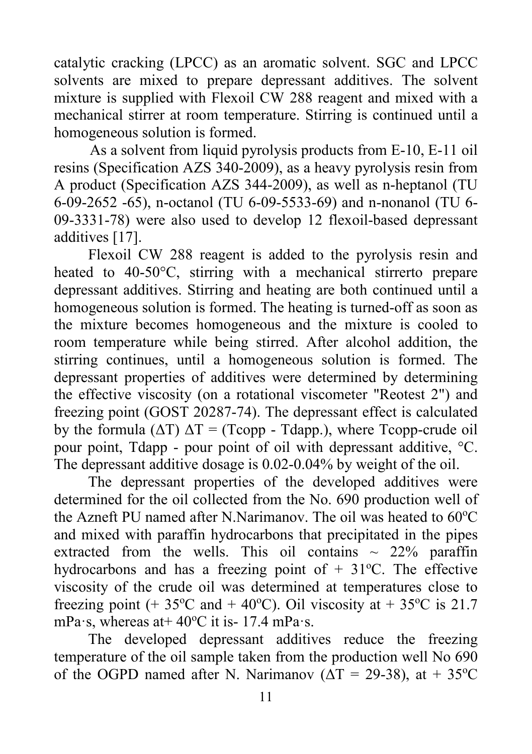catalytic cracking (LPCC) as an aromatic solvent. SGC and LPCC solvents are mixed to prepare depressant additives. The solvent mixture is supplied with Flexoil CW 288 reagent and mixed with a mechanical stirrer at room temperature. Stirring is continued until a homogeneous solution is formed.

As a solvent from liquid pyrolysis products from E-10, E-11 oil resins (Specification AZS 340-2009), as a heavy pyrolysis resin from A product (Specification AZS 344-2009), as well as n-heptanol (TU 6-09-2652 -65), n-octanol (TU 6-09-5533-69) and n-nonanol (TU 6- 09-3331-78) were also used to develop 12 flexoil-based depressant additives [17].

Flexoil CW 288 reagent is added to the pyrolysis resin and heated to 40-50°C, stirring with a mechanical stirrerto prepare depressant additives. Stirring and heating are both continued until a homogeneous solution is formed. The heating is turned-off as soon as the mixture becomes homogeneous and the mixture is cooled to room temperature while being stirred. After alcohol addition, the stirring continues, until a homogeneous solution is formed. The depressant properties of additives were determined by determining the effective viscosity (on a rotational viscometer "Reotest 2") and freezing point (GOST 20287-74). The depressant effect is calculated by the formula  $(\Delta T) \Delta T = (T_{\text{copp}} - T_{\text{dapp.}})$ , where Tcopp-crude oil pour point, Tdapp - pour point of oil with depressant additive, °C. The depressant additive dosage is 0.02-0.04% by weight of the oil.

The depressant properties of the developed additives were determined for the oil collected from the No. 690 production well of the Azneft PU named after N.Narimanov. The oil was heated to  $60^{\circ}$ C and mixed with paraffin hydrocarbons that precipitated in the pipes extracted from the wells. This oil contains  $\sim$  22% paraffin hydrocarbons and has a freezing point of  $+31^{\circ}$ C. The effective viscosity of the crude oil was determined at temperatures close to freezing point (+ 35°C and + 40°C). Oil viscosity at + 35°C is 21.7 mPa·s, whereas at  $40^{\circ}$ C it is - 17.4 mPa·s.

The developed depressant additives reduce the freezing temperature of the oil sample taken from the production well No 690 of the OGPD named after N. Narimanov ( $\Delta T = 29-38$ ), at + 35<sup>o</sup>C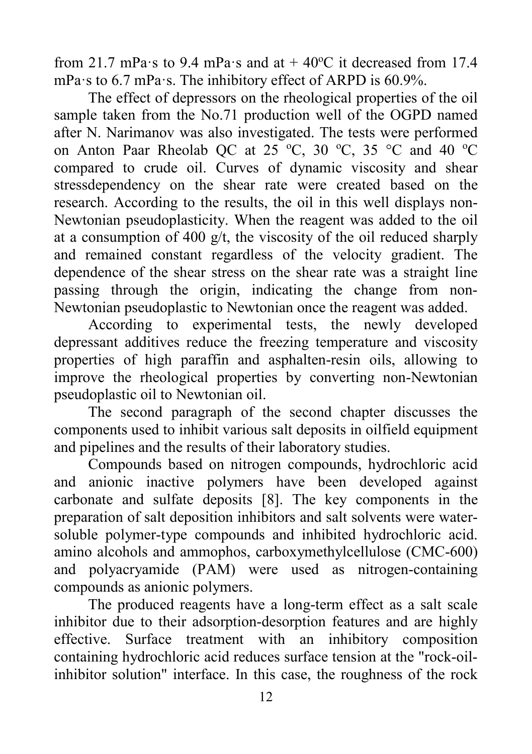from 21.7 mPa·s to 9.4 mPa·s and at  $+$  40°C it decreased from 17.4 mPa·s to 6.7 mPa·s. The inhibitory effect of ARPD is 60.9%.

The effect of depressors on the rheological properties of the oil sample taken from the No.71 production well of the OGPD named after N. Narimanov was also investigated. The tests were performed on Anton Paar Rheolab QC at 25 °C, 30 °C, 35 °C and 40 °C compared to crude oil. Curves of dynamic viscosity and shear stressdependency on the shear rate were created based on the research. According to the results, the oil in this well displays non-Newtonian pseudoplasticity. When the reagent was added to the oil at a consumption of 400 g/t, the viscosity of the oil reduced sharply and remained constant regardless of the velocity gradient. The dependence of the shear stress on the shear rate was a straight line passing through the origin, indicating the change from non-Newtonian pseudoplastic to Newtonian once the reagent was added.

According to experimental tests, the newly developed depressant additives reduce the freezing temperature and viscosity properties of high paraffin and asphalten-resin oils, allowing to improve the rheological properties by converting non-Newtonian pseudoplastic oil to Newtonian oil.

The second paragraph of the second chapter discusses the components used to inhibit various salt deposits in oilfield equipment and pipelines and the results of their laboratory studies.

Compounds based on nitrogen compounds, hydrochloric acid and anionic inactive polymers have been developed against carbonate and sulfate deposits [8]. The key components in the preparation of salt deposition inhibitors and salt solvents were watersoluble polymer-type compounds and inhibited hydrochloric acid. amino alcohols and ammophos, carboxymethylcellulose (CMC-600) and polyacryamide (PAM) were used as nitrogen-containing compounds as anionic polymers.

The produced reagents have a long-term effect as a salt scale inhibitor due to their adsorption-desorption features and are highly effective. Surface treatment with an inhibitory composition containing hydrochloric acid reduces surface tension at the "rock-oilinhibitor solution" interface. In this case, the roughness of the rock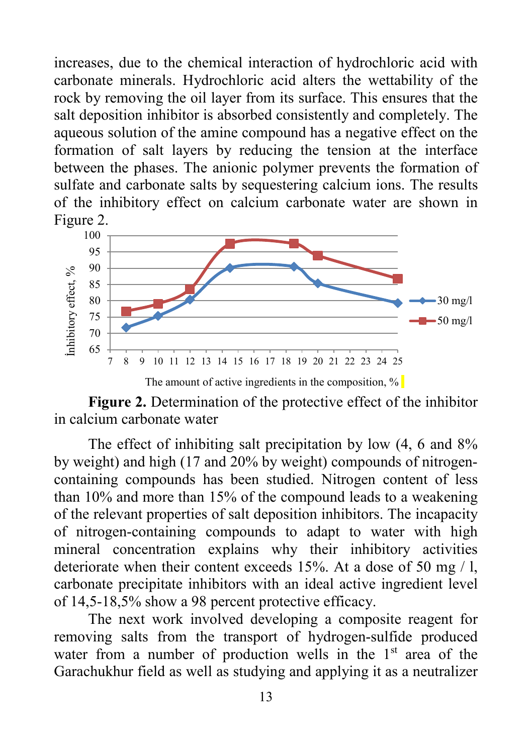increases, due to the chemical interaction of hydrochloric acid with carbonate minerals. Hydrochloric acid alters the wettability of the rock by removing the oil layer from its surface. This ensures that the salt deposition inhibitor is absorbed consistently and completely. The aqueous solution of the amine compound has a negative effect on the formation of salt layers by reducing the tension at the interface between the phases. The anionic polymer prevents the formation of sulfate and carbonate salts by sequestering calcium ions. The results of the inhibitory effect on calcium carbonate water are shown in Figure 2.



**Figure 2.** Determination of the protective effect of the inhibitor in calcium carbonate water

The effect of inhibiting salt precipitation by low  $(4, 6 \text{ and } 8\%)$ by weight) and high (17 and 20% by weight) compounds of nitrogencontaining compounds has been studied. Nitrogen content of less than 10% and more than 15% of the compound leads to a weakening of the relevant properties of salt deposition inhibitors. The incapacity of nitrogen-containing compounds to adapt to water with high mineral concentration explains why their inhibitory activities deteriorate when their content exceeds 15%. At a dose of 50 mg / l, carbonate precipitate inhibitors with an ideal active ingredient level of 14,5-18,5% show a 98 percent protective efficacy.

The next work involved developing a composite reagent for removing salts from the transport of hydrogen-sulfide produced water from a number of production wells in the  $1<sup>st</sup>$  area of the Garachukhur field as well as studying and applying it as a neutralizer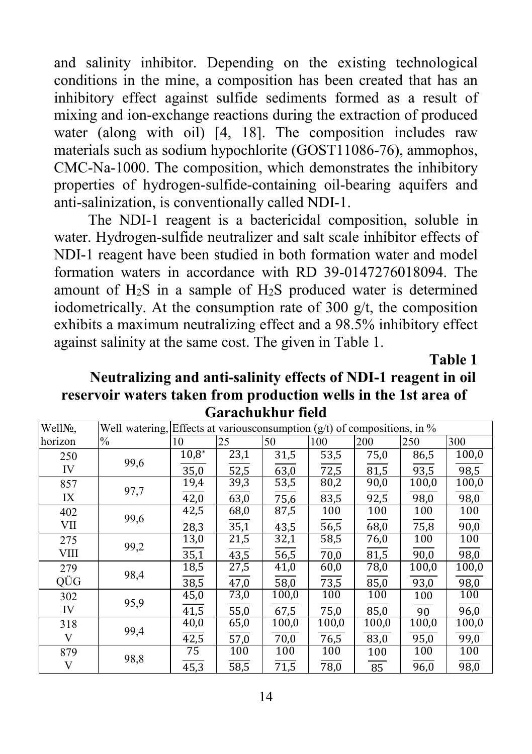and salinity inhibitor. Depending on the existing technological conditions in the mine, a composition has been created that has an inhibitory effect against sulfide sediments formed as a result of mixing and ion-exchange reactions during the extraction of produced water (along with oil) [4, 18]. The composition includes raw materials such as sodium hypochlorite (GOST11086-76), ammophos, CMC-Na-1000. The composition, which demonstrates the inhibitory properties of hydrogen-sulfide-containing oil-bearing aquifers and anti-salinization, is conventionally called NDI-1.

The NDI-1 reagent is a bactericidal composition, soluble in water. Hydrogen-sulfide neutralizer and salt scale inhibitor effects of NDI-1 reagent have been studied in both formation water and model formation waters in accordance with RD 39-0147276018094. The amount of  $H_2S$  in a sample of  $H_2S$  produced water is determined iodometrically. At the consumption rate of 300  $g/t$ , the composition exhibits a maximum neutralizing effect and a 98.5% inhibitory effect against salinity at the same cost. The given in Table 1.

**Table 1** 

## **Neutralizing and anti-salinity effects of NDI-1 reagent in oil reservoir waters taken from production wells in the 1st area of Garachukhur field**

| WellNo,     |      | Well watering, Effects at various consumption $(g/t)$ of compositions, in % |                     |                   |                  |       |       |       |
|-------------|------|-----------------------------------------------------------------------------|---------------------|-------------------|------------------|-------|-------|-------|
| horizon     | $\%$ | 10                                                                          | 25                  | 50                | 100              | 200   | 250   | 300   |
| 250         | 99,6 | $10,8*$                                                                     | 23,1                | 31,5              | 53,5             | 75,0  | 86,5  | 100,0 |
| IV          |      | 35,0                                                                        | $\frac{52,5}{39,3}$ | 63,0              | 72,5             | 81,5  | 93,5  | 98,5  |
| 857         | 97,7 | 19,4                                                                        |                     | 53,5              | 80,2             | 90,0  | 100,0 | 100,0 |
| IX          |      | $\frac{1}{42,0}$                                                            | 63,0                | $\frac{1}{75,6}$  | 83,5             | 92,5  | 98,0  | 98,0  |
| 402         | 99,6 | 42,5                                                                        | 68,0                | 87,5              | 100              | 100   | 100   | 100   |
| VII         |      | 28,3                                                                        | 35,1                | 43,5              | $\frac{1}{56,5}$ | 68,0  | 75,8  | 90,0  |
| 275         | 99,2 | 13,0                                                                        | 21,5                | 32,1              | 58,5             | 76,0  | 100   | 100   |
| <b>VIII</b> |      | 35,1                                                                        | 43,5                | 56,5              | 70,0             | 81,5  | 90,0  | 98,0  |
| 279         | 98,4 | 18,5                                                                        | 27,5                | 41,0              | 60,0             | 78,0  | 100,0 | 100,0 |
| QÜG         |      | 38,5                                                                        | 47,0                | 58,0              | 73,5             | 85,0  | 93,0  | 98,0  |
| 302         | 95,9 | 45,0                                                                        | 73,0                | 100,0             | 100              | 100   | 100   | 100   |
| IV          |      | 41,5                                                                        | 55,0                | 67,5              | 75,0             | 85,0  | 90    | 96,0  |
| 318         | 99,4 | 40,0                                                                        | 65,0                | 100,0             | 100,0            | 100,0 | 100,0 | 100,0 |
| V           |      | 42,5                                                                        | 57,0                | 70,0              | 76,5             | 83,0  | 95,0  | 99,0  |
| 879         | 98,8 | 75                                                                          | 100                 | 100               | 100              | 100   | 100   | 100   |
| V           |      | $\frac{1}{45,3}$                                                            | 58,5                | $\overline{71,5}$ | 78,0             | 85    | 96,0  | 98,0  |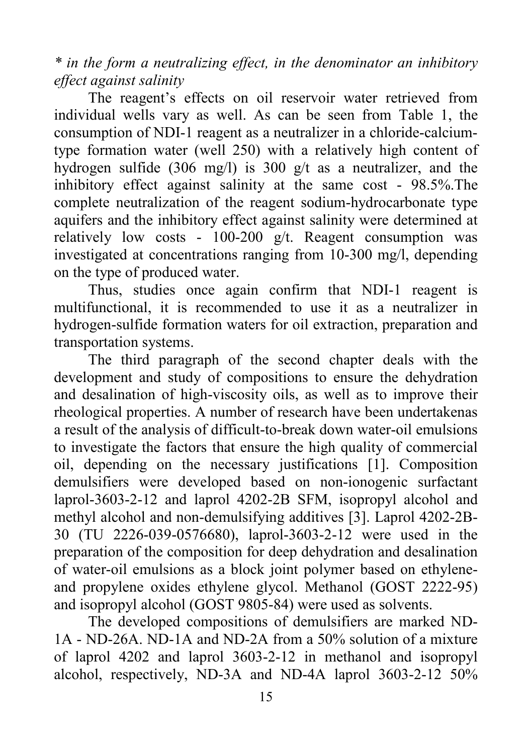*\* in the form a neutralizing effect, in the denominator an inhibitory effect against salinity* 

The reagent's effects on oil reservoir water retrieved from individual wells vary as well. As can be seen from Table 1, the consumption of NDI-1 reagent as a neutralizer in a chloride-calciumtype formation water (well 250) with a relatively high content of hydrogen sulfide (306 mg/l) is 300 g/t as a neutralizer, and the inhibitory effect against salinity at the same cost - 98.5%.The complete neutralization of the reagent sodium-hydrocarbonate type aquifers and the inhibitory effect against salinity were determined at relatively low costs -  $100-200$  g/t. Reagent consumption was investigated at concentrations ranging from 10-300 mg/l, depending on the type of produced water.

Thus, studies once again confirm that NDI-1 reagent is multifunctional, it is recommended to use it as a neutralizer in hydrogen-sulfide formation waters for oil extraction, preparation and transportation systems.

The third paragraph of the second chapter deals with the development and study of compositions to ensure the dehydration and desalination of high-viscosity oils, as well as to improve their rheological properties. A number of research have been undertakenas a result of the analysis of difficult-to-break down water-oil emulsions to investigate the factors that ensure the high quality of commercial oil, depending on the necessary justifications [1]. Composition demulsifiers were developed based on non-ionogenic surfactant laprol-3603-2-12 and laprol 4202-2B SFM, isopropyl alcohol and methyl alcohol and non-demulsifying additives [3]. Laprol 4202-2B-30 (TU 2226-039-0576680), laprol-3603-2-12 were used in the preparation of the composition for deep dehydration and desalination of water-oil emulsions as a block joint polymer based on ethyleneand propylene oxides ethylene glycol. Methanol (GOST 2222-95) and isopropyl alcohol (GOST 9805-84) were used as solvents.

The developed compositions of demulsifiers are marked ND-1A - ND-26A. ND-1A and ND-2A from a 50% solution of a mixture of laprol 4202 and laprol 3603-2-12 in methanol and isopropyl alcohol, respectively, ND-3A and ND-4A laprol 3603-2-12 50%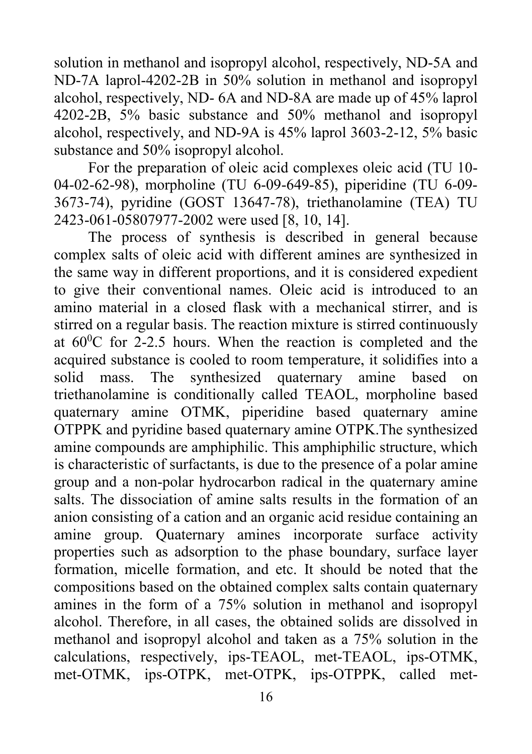solution in methanol and isopropyl alcohol, respectively, ND-5A and ND-7A laprol-4202-2B in 50% solution in methanol and isopropyl alcohol, respectively, ND- 6A and ND-8A are made up of 45% laprol 4202-2B, 5% basic substance and 50% methanol and isopropyl alcohol, respectively, and ND-9A is 45% laprol 3603-2-12, 5% basic substance and 50% isopropyl alcohol.

For the preparation of oleic acid complexes oleic acid (TU 10- 04-02-62-98), morpholine (TU 6-09-649-85), piperidine (TU 6-09- 3673-74), pyridine (GOST 13647-78), triethanolamine (TEA) TU 2423-061-05807977-2002 were used [8, 10, 14].

The process of synthesis is described in general because complex salts of oleic acid with different amines are synthesized in the same way in different proportions, and it is considered expedient to give their conventional names. Oleic acid is introduced to an amino material in a closed flask with a mechanical stirrer, and is stirred on a regular basis. The reaction mixture is stirred continuously at  $60^{\circ}$ C for 2-2.5 hours. When the reaction is completed and the acquired substance is cooled to room temperature, it solidifies into a solid mass. The synthesized quaternary amine based on triethanolamine is conditionally called TEAOL, morpholine based quaternary amine OTMK, piperidine based quaternary amine OTPPK and pyridine based quaternary amine OTPK.The synthesized amine compounds are amphiphilic. This amphiphilic structure, which is characteristic of surfactants, is due to the presence of a polar amine group and a non-polar hydrocarbon radical in the quaternary amine salts. The dissociation of amine salts results in the formation of an anion consisting of a cation and an organic acid residue containing an amine group. Quaternary amines incorporate surface activity properties such as adsorption to the phase boundary, surface layer formation, micelle formation, and etc. It should be noted that the compositions based on the obtained complex salts contain quaternary amines in the form of a 75% solution in methanol and isopropyl alcohol. Therefore, in all cases, the obtained solids are dissolved in methanol and isopropyl alcohol and taken as a 75% solution in the calculations, respectively, ips-TEAOL, met-TEAOL, ips-OTMK, met-OTMK, ips-OTPK, met-OTPK, ips-OTPPK, called met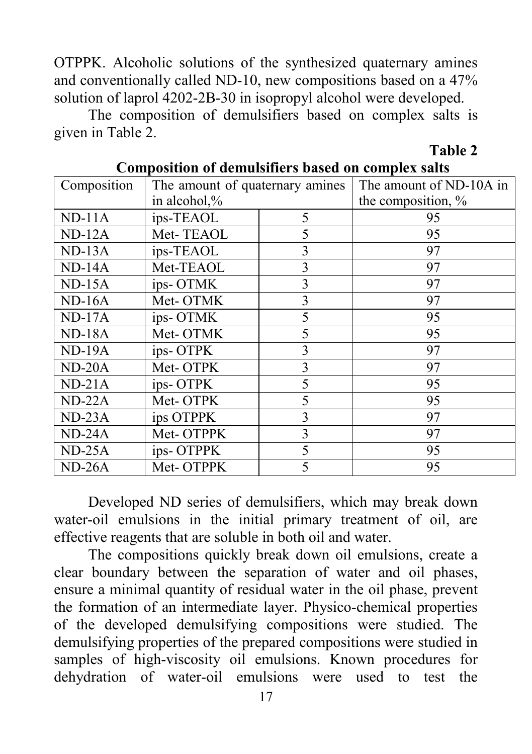OTPPK. Alcoholic solutions of the synthesized quaternary amines and conventionally called ND-10, new compositions based on a 47% solution of laprol 4202-2B-30 in isopropyl alcohol were developed.

The composition of demulsifiers based on complex salts is given in Table 2.

**Table 2**

| Composition | The amount of quaternary amines |   | The amount of ND-10A in |  |  |
|-------------|---------------------------------|---|-------------------------|--|--|
|             | in alcohol,%                    |   | the composition, %      |  |  |
| $ND-11A$    | ips-TEAOL                       | 5 | 95                      |  |  |
| $ND-12A$    | Met-TEAOL                       | 5 | 95                      |  |  |
| $ND-13A$    | ips-TEAOL                       | 3 | 97                      |  |  |
| $ND-14A$    | Met-TEAOL                       | 3 | 97                      |  |  |
| $ND-15A$    | ips-OTMK                        | 3 | 97                      |  |  |
| $ND-16A$    | Met-OTMK                        | 3 | 97                      |  |  |
| $ND-17A$    | ips-OTMK                        | 5 | 95                      |  |  |
| $ND-18A$    | Met-OTMK                        | 5 | 95                      |  |  |
| $ND-19A$    | ips-OTPK                        | 3 | 97                      |  |  |
| $ND-20A$    | Met-OTPK                        | 3 | 97                      |  |  |
| $ND-21A$    | ips-OTPK                        | 5 | 95                      |  |  |
| $ND-22A$    | Met-OTPK                        | 5 | 95                      |  |  |
| $ND-23A$    | ips OTPPK                       | 3 | 97                      |  |  |
| $ND-24A$    | Met-OTPPK                       | 3 | 97                      |  |  |
| $ND-25A$    | ips-OTPPK                       | 5 | 95                      |  |  |
| $ND-26A$    | Met-OTPPK                       | 5 | 95                      |  |  |

#### **Composition of demulsifiers based on complex salts**

Developed ND series of demulsifiers, which may break down water-oil emulsions in the initial primary treatment of oil, are effective reagents that are soluble in both oil and water.

The compositions quickly break down oil emulsions, create a clear boundary between the separation of water and oil phases, ensure a minimal quantity of residual water in the oil phase, prevent the formation of an intermediate layer. Physico-chemical properties of the developed demulsifying compositions were studied. The demulsifying properties of the prepared compositions were studied in samples of high-viscosity oil emulsions. Known procedures for dehydration of water-oil emulsions were used to test the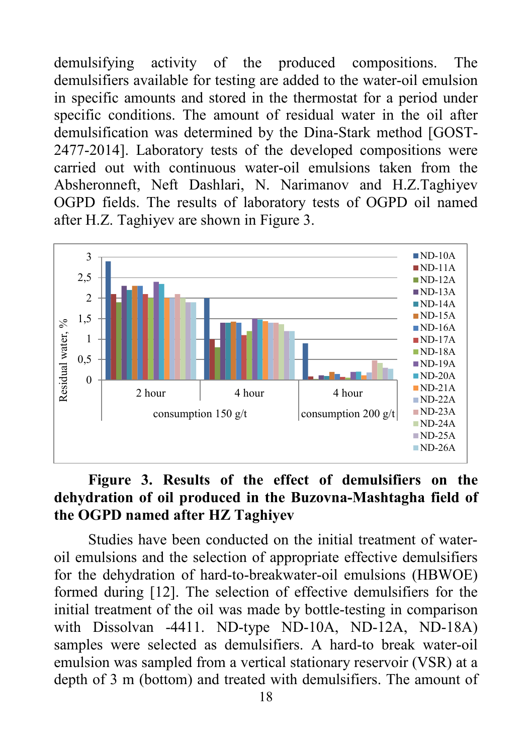demulsifying activity of the produced compositions. The demulsifiers available for testing are added to the water-oil emulsion in specific amounts and stored in the thermostat for a period under specific conditions. The amount of residual water in the oil after demulsification was determined by the Dina-Stark method [GOST-2477-2014]. Laboratory tests of the developed compositions were carried out with continuous water-oil emulsions taken from the Absheronneft, Neft Dashlari, N. Narimanov and H.Z.Taghiyev OGPD fields. The results of laboratory tests of OGPD oil named after H.Z. Taghiyev are shown in Figure 3.



## **Figure 3. Results of the effect of demulsifiers on the dehydration of oil produced in the Buzovna-Mashtagha field of the OGPD named after HZ Taghiyev**

Studies have been conducted on the initial treatment of wateroil emulsions and the selection of appropriate effective demulsifiers for the dehydration of hard-to-breakwater-oil emulsions (HBWOE) formed during [12]. The selection of effective demulsifiers for the initial treatment of the oil was made by bottle-testing in comparison with Dissolvan -4411. ND-type ND-10A, ND-12A, ND-18A) samples were selected as demulsifiers. A hard-to break water-oil emulsion was sampled from a vertical stationary reservoir (VSR) at a depth of 3 m (bottom) and treated with demulsifiers. The amount of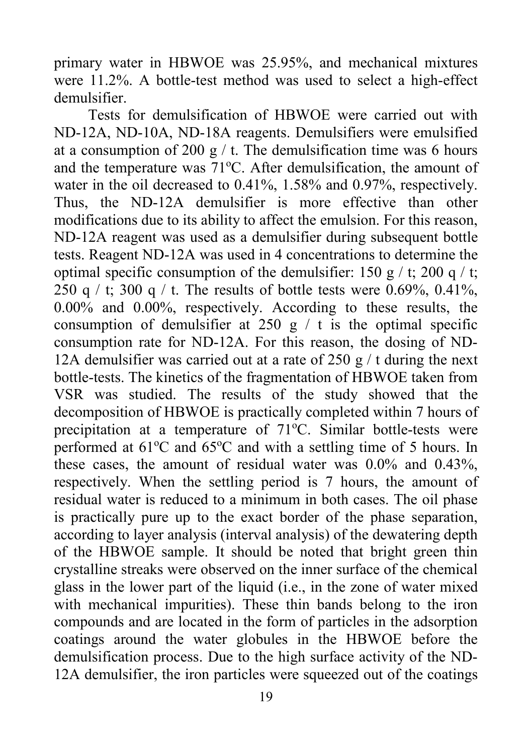primary water in HBWOE was 25.95%, and mechanical mixtures were 11.2%. A bottle-test method was used to select a high-effect demulsifier.

Tests for demulsification of HBWOE were carried out with ND-12A, ND-10A, ND-18A reagents. Demulsifiers were emulsified at a consumption of 200 g  $/$  t. The demulsification time was 6 hours and the temperature was 71°C. After demulsification, the amount of water in the oil decreased to 0.41%, 1.58% and 0.97%, respectively. Thus, the ND-12A demulsifier is more effective than other modifications due to its ability to affect the emulsion. For this reason, ND-12A reagent was used as a demulsifier during subsequent bottle tests. Reagent ND-12A was used in 4 concentrations to determine the optimal specific consumption of the demulsifier: 150 g / t; 200 q / t; 250 q / t; 300 q / t. The results of bottle tests were 0.69%, 0.41%, 0.00% and 0.00%, respectively. According to these results, the consumption of demulsifier at 250 g  $/$  t is the optimal specific consumption rate for ND-12A. For this reason, the dosing of ND-12A demulsifier was carried out at a rate of  $250 g / t$  during the next bottle-tests. The kinetics of the fragmentation of HBWOE taken from VSR was studied. The results of the study showed that the decomposition of HBWOE is practically completed within 7 hours of precipitation at a temperature of 71°C. Similar bottle-tests were performed at 61°C and 65°C and with a settling time of 5 hours. In these cases, the amount of residual water was 0.0% and 0.43%, respectively. When the settling period is 7 hours, the amount of residual water is reduced to a minimum in both cases. The oil phase is practically pure up to the exact border of the phase separation, according to layer analysis (interval analysis) of the dewatering depth of the HBWOE sample. It should be noted that bright green thin crystalline streaks were observed on the inner surface of the chemical glass in the lower part of the liquid (i.e., in the zone of water mixed with mechanical impurities). These thin bands belong to the iron compounds and are located in the form of particles in the adsorption coatings around the water globules in the HBWOE before the demulsification process. Due to the high surface activity of the ND-12A demulsifier, the iron particles were squeezed out of the coatings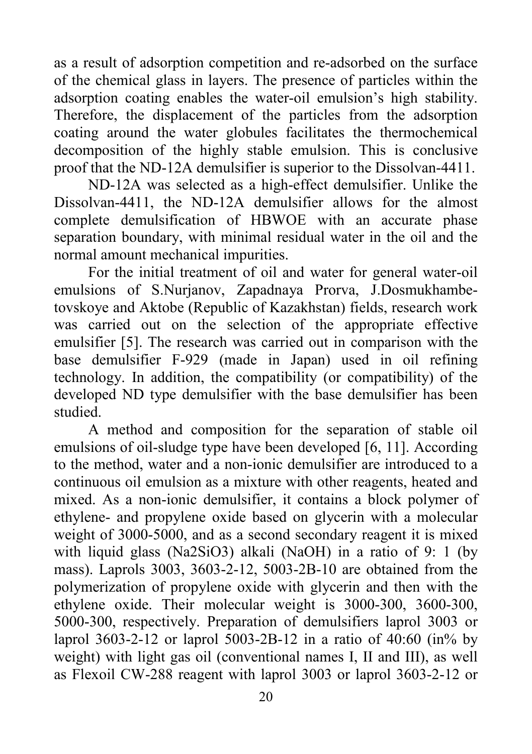as a result of adsorption competition and re-adsorbed on the surface of the chemical glass in layers. The presence of particles within the adsorption coating enables the water-oil emulsion's high stability. Therefore, the displacement of the particles from the adsorption coating around the water globules facilitates the thermochemical decomposition of the highly stable emulsion. This is conclusive proof that the ND-12A demulsifier is superior to the Dissolvan-4411.

ND-12A was selected as a high-effect demulsifier. Unlike the Dissolvan-4411, the ND-12A demulsifier allows for the almost complete demulsification of HBWOE with an accurate phase separation boundary, with minimal residual water in the oil and the normal amount mechanical impurities.

For the initial treatment of oil and water for general water-oil emulsions of S.Nurjanov, Zapadnaya Prorva, J.Dosmukhambetovskoye and Aktobe (Republic of Kazakhstan) fields, research work was carried out on the selection of the appropriate effective emulsifier [5]. The research was carried out in comparison with the base demulsifier F-929 (made in Japan) used in oil refining technology. In addition, the compatibility (or compatibility) of the developed ND type demulsifier with the base demulsifier has been studied.

A method and composition for the separation of stable oil emulsions of oil-sludge type have been developed [6, 11]. According to the method, water and a non-ionic demulsifier are introduced to a continuous oil emulsion as a mixture with other reagents, heated and mixed. As a non-ionic demulsifier, it contains a block polymer of ethylene- and propylene oxide based on glycerin with a molecular weight of 3000-5000, and as a second secondary reagent it is mixed with liquid glass (Na2SiO3) alkali (NaOH) in a ratio of 9: 1 (by mass). Laprols 3003, 3603-2-12, 5003-2B-10 are obtained from the polymerization of propylene oxide with glycerin and then with the ethylene oxide. Their molecular weight is 3000-300, 3600-300, 5000-300, respectively. Preparation of demulsifiers laprol 3003 or laprol 3603-2-12 or laprol 5003-2B-12 in a ratio of 40:60 (in% by weight) with light gas oil (conventional names I, II and III), as well as Flexoil CW-288 reagent with laprol 3003 or laprol 3603-2-12 or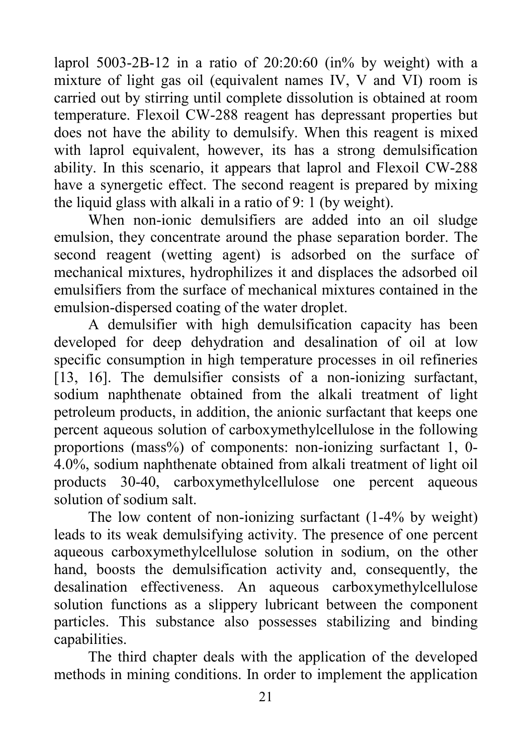laprol 5003-2B-12 in a ratio of 20:20:60 (in% by weight) with a mixture of light gas oil (equivalent names IV, V and VI) room is carried out by stirring until complete dissolution is obtained at room temperature. Flexoil CW-288 reagent has depressant properties but does not have the ability to demulsify. When this reagent is mixed with laprol equivalent, however, its has a strong demulsification ability. In this scenario, it appears that laprol and Flexoil CW-288 have a synergetic effect. The second reagent is prepared by mixing the liquid glass with alkali in a ratio of 9: 1 (by weight).

When non-ionic demulsifiers are added into an oil sludge emulsion, they concentrate around the phase separation border. The second reagent (wetting agent) is adsorbed on the surface of mechanical mixtures, hydrophilizes it and displaces the adsorbed oil emulsifiers from the surface of mechanical mixtures contained in the emulsion-dispersed coating of the water droplet.

A demulsifier with high demulsification capacity has been developed for deep dehydration and desalination of oil at low specific consumption in high temperature processes in oil refineries [13, 16]. The demulsifier consists of a non-ionizing surfactant, sodium naphthenate obtained from the alkali treatment of light petroleum products, in addition, the anionic surfactant that keeps one percent aqueous solution of carboxymethylcellulose in the following proportions (mass%) of components: non-ionizing surfactant 1, 0- 4.0%, sodium naphthenate obtained from alkali treatment of light oil products 30-40, carboxymethylcellulose one percent aqueous solution of sodium salt.

The low content of non-ionizing surfactant (1-4% by weight) leads to its weak demulsifying activity. The presence of one percent aqueous carboxymethylcellulose solution in sodium, on the other hand, boosts the demulsification activity and, consequently, the desalination effectiveness. An aqueous carboxymethylcellulose solution functions as a slippery lubricant between the component particles. This substance also possesses stabilizing and binding capabilities.

The third chapter deals with the application of the developed methods in mining conditions. In order to implement the application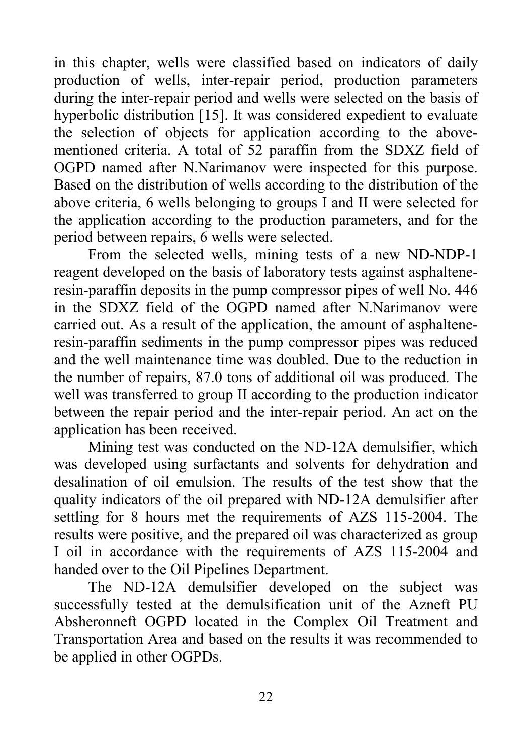in this chapter, wells were classified based on indicators of daily production of wells, inter-repair period, production parameters during the inter-repair period and wells were selected on the basis of hyperbolic distribution [15]. It was considered expedient to evaluate the selection of objects for application according to the abovementioned criteria. A total of 52 paraffin from the SDXZ field of OGPD named after N.Narimanov were inspected for this purpose. Based on the distribution of wells according to the distribution of the above criteria, 6 wells belonging to groups I and II were selected for the application according to the production parameters, and for the period between repairs, 6 wells were selected.

From the selected wells, mining tests of a new ND-NDP-1 reagent developed on the basis of laboratory tests against asphalteneresin-paraffin deposits in the pump compressor pipes of well No. 446 in the SDXZ field of the OGPD named after N.Narimanov were carried out. As a result of the application, the amount of asphalteneresin-paraffin sediments in the pump compressor pipes was reduced and the well maintenance time was doubled. Due to the reduction in the number of repairs, 87.0 tons of additional oil was produced. The well was transferred to group II according to the production indicator between the repair period and the inter-repair period. An act on the application has been received.

Mining test was conducted on the ND-12A demulsifier, which was developed using surfactants and solvents for dehydration and desalination of oil emulsion. The results of the test show that the quality indicators of the oil prepared with ND-12A demulsifier after settling for 8 hours met the requirements of AZS 115-2004. The results were positive, and the prepared oil was characterized as group I oil in accordance with the requirements of AZS 115-2004 and handed over to the Oil Pipelines Department.

The ND-12A demulsifier developed on the subject was successfully tested at the demulsification unit of the Azneft PU Absheronneft OGPD located in the Complex Oil Treatment and Transportation Area and based on the results it was recommended to be applied in other OGPDs.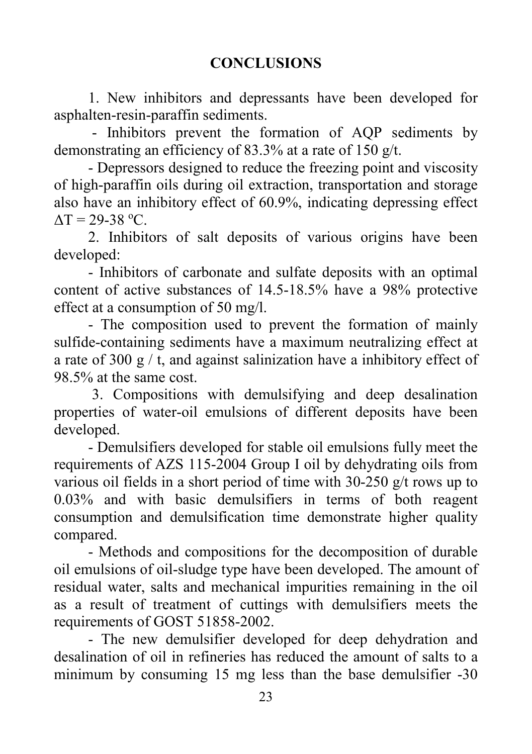1. New inhibitors and depressants have been developed for asphalten-resin-paraffin sediments.

- Inhibitors prevent the formation of AQP sediments by demonstrating an efficiency of 83.3% at a rate of 150 g/t.

- Depressors designed to reduce the freezing point and viscosity of high-paraffin oils during oil extraction, transportation and storage also have an inhibitory effect of 60.9%, indicating depressing effect  $\Delta T = 29 - 38$  °C.

2. Inhibitors of salt deposits of various origins have been developed:

- Inhibitors of carbonate and sulfate deposits with an optimal content of active substances of 14.5-18.5% have a 98% protective effect at a consumption of 50 mg/l.

- The composition used to prevent the formation of mainly sulfide-containing sediments have a maximum neutralizing effect at a rate of 300 g  $/$  t, and against salinization have a inhibitory effect of 98.5% at the same cost.

3. Compositions with demulsifying and deep desalination properties of water-oil emulsions of different deposits have been developed.

- Demulsifiers developed for stable oil emulsions fully meet the requirements of AZS 115-2004 Group I oil by dehydrating oils from various oil fields in a short period of time with 30-250 g/t rows up to 0.03% and with basic demulsifiers in terms of both reagent consumption and demulsification time demonstrate higher quality compared.

- Methods and compositions for the decomposition of durable oil emulsions of oil-sludge type have been developed. The amount of residual water, salts and mechanical impurities remaining in the oil as a result of treatment of cuttings with demulsifiers meets the requirements of GOST 51858-2002.

- The new demulsifier developed for deep dehydration and desalination of oil in refineries has reduced the amount of salts to a minimum by consuming 15 mg less than the base demulsifier -30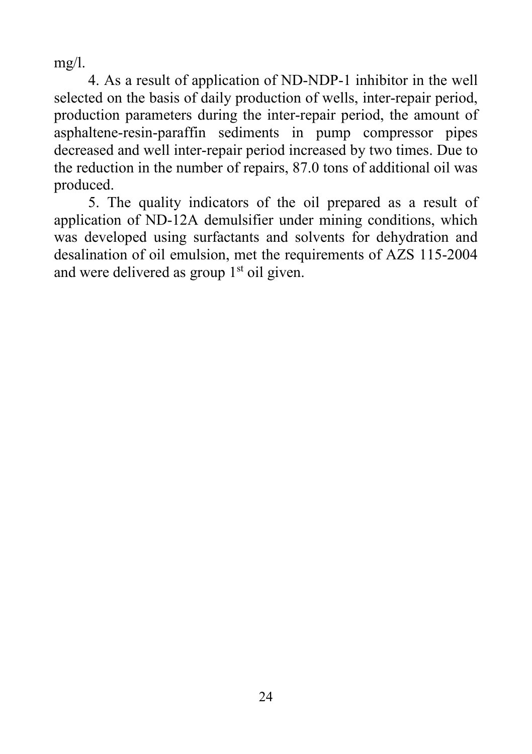$mg/l$ .

4. As a result of application of ND-NDP-1 inhibitor in the well selected on the basis of daily production of wells, inter-repair period, production parameters during the inter-repair period, the amount of asphaltene-resin-paraffin sediments in pump compressor pipes decreased and well inter-repair period increased by two times. Due to the reduction in the number of repairs, 87.0 tons of additional oil was produced.

5. The quality indicators of the oil prepared as a result of application of ND-12A demulsifier under mining conditions, which was developed using surfactants and solvents for dehydration and desalination of oil emulsion, met the requirements of AZS 115-2004 and were delivered as group  $1<sup>st</sup>$  oil given.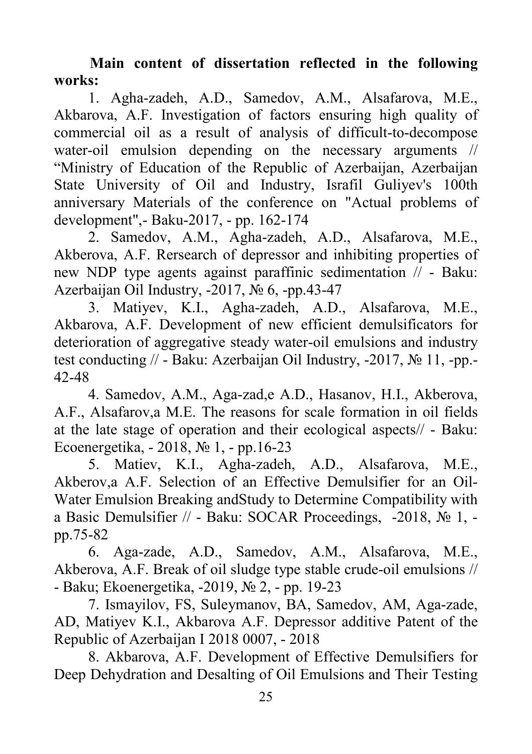**Main content of dissertation reflected in the following works:**

1. Agha-zadeh, A.D., Samedov, A.M., Alsafarova, M.E., Akbarova, A.F. Investigation of factors ensuring high quality of commercial oil as a result of analysis of difficult-to-decompose water-oil emulsion depending on the necessary arguments // "Ministry of Education of the Republic of Azerbaijan, Azerbaijan State University of Oil and Industry, Israfil Guliyev's 100th anniversary Materials of the conference on "Actual problems of development",- Baku-2017, - pp. 162-174

2. Samedov, A.M., Agha-zadeh, A.D., Alsafarova, M.E., Akberova, A.F. Rersearch of depressor and inhibiting properties of new NDP type agents against paraffinic sedimentation // - Baku: Azerbaijan Oil Industry, -2017, № 6, -pp.43-47

3. Matiyev, K.I., Agha-zadeh, A.D., Alsafarova, M.E., Akbarova, A.F. Development of new efficient demulsificators for deterioration of aggregative steady water-oil emulsions and industry test conducting // - Baku: Azerbaijan Oil Industry, -2017, № 11, -pp.- 42-48

4. Samedov, A.M., Aga-zad,e A.D., Hasanov, H.I., Akberova, A.F., Alsafarov,a M.E. The reasons for scale formation in oil fields at the late stage of operation and their ecological aspects// - Baku: Ecoenergetika, - 2018, № 1, - pp.16-23

5. Matiev, K.I., Agha-zadeh, A.D., Alsafarova, M.E., Akberov,a A.F. Selection of an Effective Demulsifier for an Oil-Water Emulsion Breaking andStudy to Determine Compatibility with a Basic Demulsifier // - Baku: SOCAR Proceedings, -2018, № 1, pp.75-82

6. Aga-zade, A.D., Samedov, A.M., Alsafarova, M.E., Akberova, A.F. Break of oil sludge type stable crude-oil emulsions // - Baku; Ekoenergetika, -2019, № 2, - pp. 19-23

7. Ismayilov, FS, Suleymanov, BA, Samedov, AM, Aga-zade, AD, Matiyev K.I., Akbarova A.F. Depressor additive Patent of the Republic of Azerbaijan I 2018 0007, - 2018

8. Akbarova, A.F. Development of Effective Demulsifiers for Deep Dehydration and Desalting of Oil Emulsions and Their Testing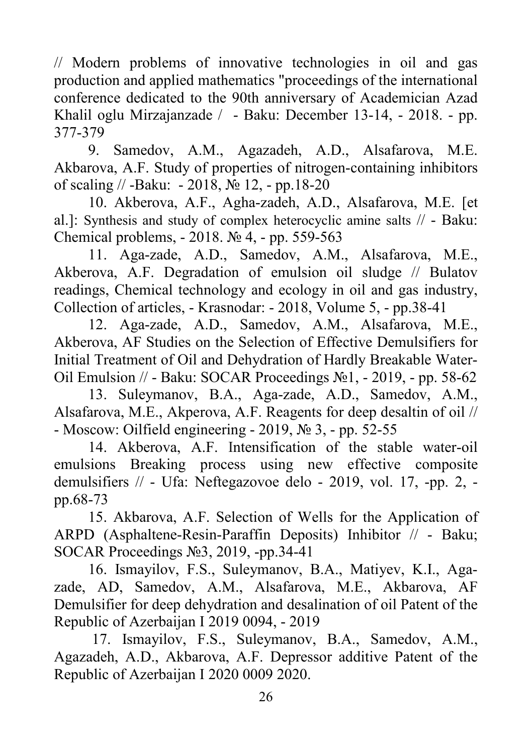// Modern problems of innovative technologies in oil and gas production and applied mathematics "proceedings of the international conference dedicated to the 90th anniversary of Academician Azad Khalil oglu Mirzajanzade / - Baku: December 13-14, - 2018. - pp. 377-379

9. Samedov, A.M., Agazadeh, A.D., Alsafarova, M.E. Akbarova, A.F. Study of properties of nitrogen-containing inhibitors of scaling // -Baku: - 2018,  $\mathcal{N}$  12, - pp.18-20

10. Akberova, A.F., Agha-zadeh, A.D., Alsafarova, M.E. [et al.]: Synthesis and study of complex heterocyclic amine salts // - Baku: Chemical problems, - 2018. № 4, - pp. 559-563

11. Aga-zade, A.D., Samedov, A.M., Alsafarova, M.E., Akberova, A.F. Degradation of emulsion oil sludge // Bulatov readings, Chemical technology and ecology in oil and gas industry, Collection of articles, - Krasnodar: - 2018, Volume 5, - pp.38-41

12. Aga-zade, A.D., Samedov, A.M., Alsafarova, M.E., Akberova, AF Studies on the Selection of Effective Demulsifiers for Initial Treatment of Oil and Dehydration of Hardly Breakable Water-Oil Emulsion // - Baku: SOCAR Proceedings №1, - 2019, - pp. 58-62

13. Suleymanov, B.A., Aga-zade, A.D., Samedov, A.M., Alsafarova, M.E., Akperova, A.F. Reagents for deep desaltin of oil // - Moscow: Oilfield engineering - 2019,  $\mathcal{N}_2$  3, - pp. 52-55

14. Akberova, A.F. Intensification of the stable water-oil emulsions Breaking process using new effective composite demulsifiers // - Ufa: Neftegazovoe delo - 2019, vol. 17, -pp. 2, pp.68-73

15. Akbarova, A.F. Selection of Wells for the Application of ARPD (Asphaltene-Resin-Paraffin Deposits) Inhibitor // - Baku; SOCAR Proceedings №3, 2019, -pp.34-41

16. Ismayilov, F.S., Suleymanov, B.A., Matiyev, K.I., Agazade, AD, Samedov, A.M., Alsafarova, M.E., Akbarova, AF Demulsifier for deep dehydration and desalination of oil Patent of the Republic of Azerbaijan I 2019 0094, - 2019

17. Ismayilov, F.S., Suleymanov, B.A., Samedov, A.M., Agazadeh, A.D., Akbarova, A.F. Depressor additive Patent of the Republic of Azerbaijan I 2020 0009 2020.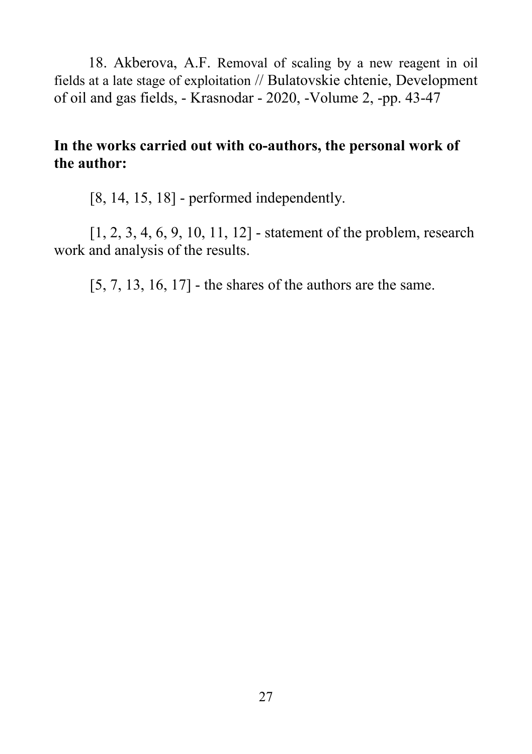18. Akberova, A.F. Removal of scaling by a new reagent in oil fields at a late stage of exploitation // Bulatovskie chtenie, Development of oil and gas fields, - Krasnodar - 2020, -Volume 2, -pp. 43-47

## **In the works carried out with co-authors, the personal work of the author:**

[8, 14, 15, 18] - performed independently.

[1, 2, 3, 4, 6, 9, 10, 11, 12] - statement of the problem, research work and analysis of the results.

[5, 7, 13, 16, 17] - the shares of the authors are the same.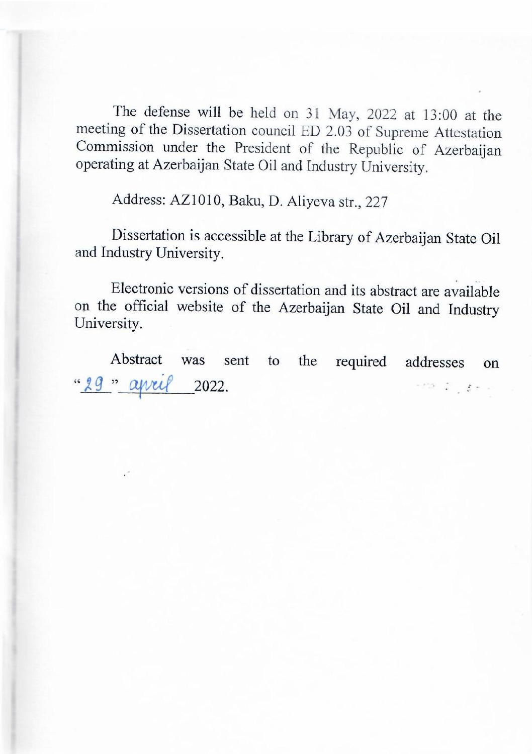The defense will be held on 31 May, 2022 at 13:00 at the meeting of the Dissertation council ED 2.03 of Supreme Attestation Commission under the President of the Republic of Azerbaijan operating at Azerbaijan State Oil and Industry University.

Address: AZ1010, Baku, D. Aliyeva str., 227

Address: AZ1010, Baku, D. Aliyeva str., 227

Dissertation is accessible at the Library of Azerbaijan State Oil and Industry University.

Electronic versions of dissertation and its abstract are available on the official website of the Azerbaijan State Oil and Industry University.  $A$ bstract was sent to the required addresses on  $\mathbb{R}^n$  . The required addresses on  $\mathbb{R}^n$ 

Abstract was sent to the required addresses on "29" april 2022.  $\label{eq:2.1} \mathcal{F}^{(2)}_{\mu\nu} = \frac{1}{2} \left[ \begin{array}{cc} \mu_{\mu\nu} & \mu_{\nu\mu} \\ \nu_{\mu\nu} & \nu_{\mu\nu} \end{array} \right] \; ,$